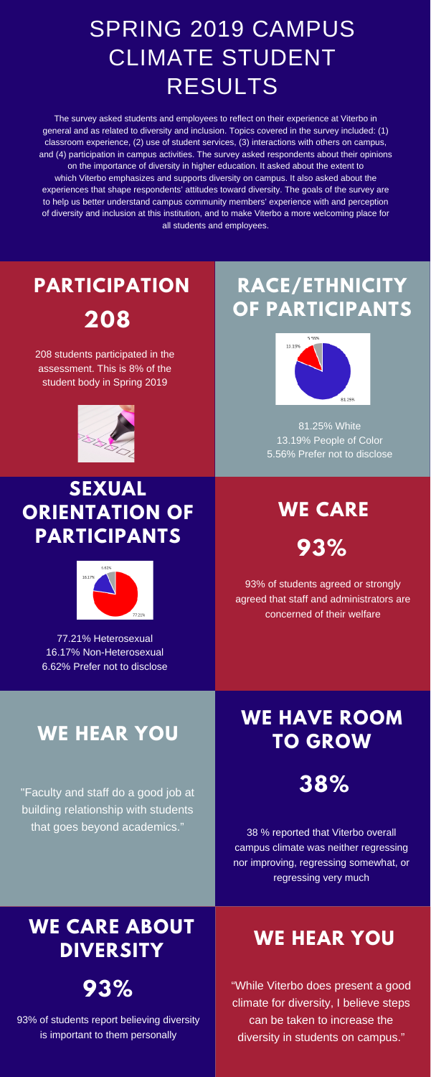The survey asked students and employees to reflect on their experience at Viterbo in general and as related to diversity and inclusion. Topics covered in the survey included: (1) classroom experience, (2) use of student services, (3) interactions with others on campus, and (4) participation in campus activities. The survey asked respondents about their opinions on the importance of diversity in higher education. It asked about the extent to which Viterbo emphasizes and supports diversity on campus. It also asked about the experiences that shape respondents' attitudes toward diversity. The goals of the survey are to help us better understand campus community members' experience with and perception of diversity and inclusion at this institution, and to make Viterbo a more welcoming place for all students and employees.

### SPRING 2019 CAMPUS CLIMATE STUDENT RESULTS

#### **PARTICIPATION RACE/ETHNICITY OF PARTICIPANTS**



93% of students agreed or strongly agreed that staff and administrators are concerned of their welfare

#### **WE CARE**

38 % reported that Viterbo overall campus climate was neither regressing nor improving, regressing somewhat, or regressing very much

## **WE HAVE ROOM**

#### **WE HEAR YOU TO GROW**

"Faculty and staff do a good job at building relationship with students that goes beyond academics."

# **208**

208 students participated in the assessment. This is 8% of the student body in Spring 2019



81.25% White 13.19% People of Color 5.56% Prefer not to disclose

#### **SEXUAL ORIENTATION OF PARTICIPANTS**



77.21% Heterosexual

16.17% Non-Heterosexual 6.62% Prefer not to disclose





#### **WE CARE ABOUT DIVERSITY**

**93%**

93% of students report believing diversity is important to them personally

"While Viterbo does present a good climate for diversity, I believe steps can be taken to increase the diversity in students on campus."

#### **WE HEAR YOU**